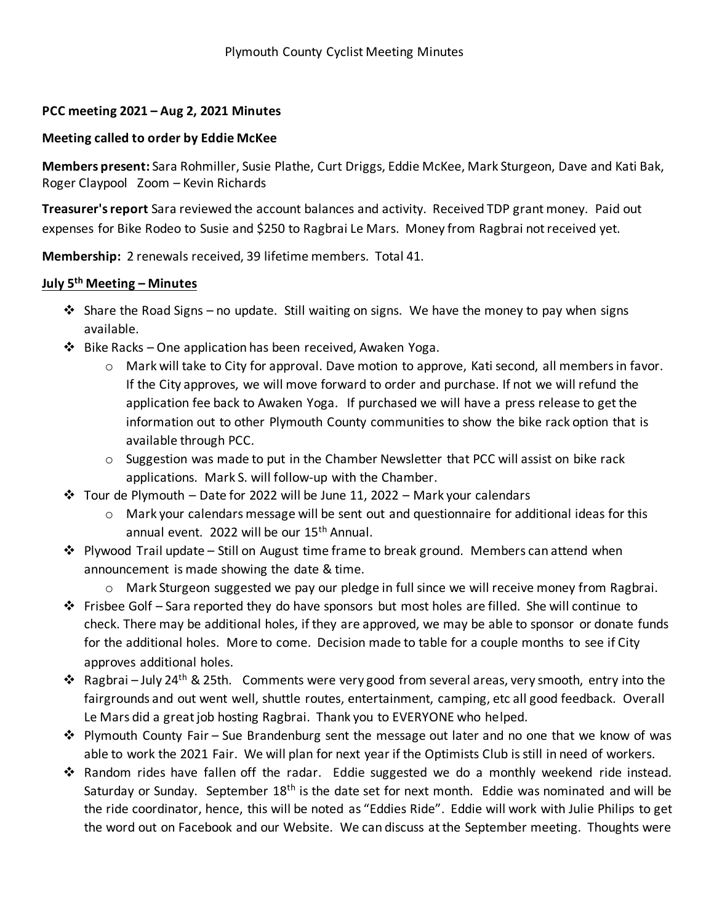## **PCC meeting 2021 – Aug 2, 2021 Minutes**

## **Meeting called to order by Eddie McKee**

**Members present:** Sara Rohmiller, Susie Plathe, Curt Driggs, Eddie McKee, Mark Sturgeon, Dave and Kati Bak, Roger Claypool Zoom – Kevin Richards

**Treasurer's report** Sara reviewed the account balances and activity. Received TDP grant money. Paid out expenses for Bike Rodeo to Susie and \$250 to Ragbrai Le Mars. Money from Ragbrai not received yet.

**Membership:** 2 renewals received, 39 lifetime members. Total 41.

## **July 5th Meeting – Minutes**

- $\div$  Share the Road Signs no update. Still waiting on signs. We have the money to pay when signs available.
- ❖ Bike Racks One application has been received, Awaken Yoga.
	- o Mark will take to City for approval. Dave motion to approve, Kati second, all members in favor. If the City approves, we will move forward to order and purchase. If not we will refund the application fee back to Awaken Yoga. If purchased we will have a press release to get the information out to other Plymouth County communities to show the bike rack option that is available through PCC.
	- $\circ$  Suggestion was made to put in the Chamber Newsletter that PCC will assist on bike rack applications. Mark S. will follow-up with the Chamber.
- $\dots$  Tour de Plymouth Date for 2022 will be June 11, 2022 Mark your calendars
	- $\circ$  Mark your calendars message will be sent out and questionnaire for additional ideas for this annual event. 2022 will be our 15<sup>th</sup> Annual.
- ❖ Plywood Trail update Still on August time frame to break ground. Members can attend when announcement is made showing the date & time.
	- o Mark Sturgeon suggested we pay our pledge in full since we will receive money from Ragbrai.
- $\dots$  Frisbee Golf Sara reported they do have sponsors but most holes are filled. She will continue to check. There may be additional holes, if they are approved, we may be able to sponsor or donate funds for the additional holes. More to come. Decision made to table for a couple months to see if City approves additional holes.
- ❖ Ragbrai July 24<sup>th</sup> & 25th. Comments were very good from several areas, very smooth, entry into the fairgrounds and out went well, shuttle routes, entertainment, camping, etc all good feedback. Overall Le Mars did a great job hosting Ragbrai. Thank you to EVERYONE who helped.
- $\dots$  Plymouth County Fair Sue Brandenburg sent the message out later and no one that we know of was able to work the 2021 Fair. We will plan for next year if the Optimists Club is still in need of workers.
- ❖ Random rides have fallen off the radar. Eddie suggested we do a monthly weekend ride instead. Saturday or Sunday. September 18<sup>th</sup> is the date set for next month. Eddie was nominated and will be the ride coordinator, hence, this will be noted as "Eddies Ride". Eddie will work with Julie Philips to get the word out on Facebook and our Website. We can discuss at the September meeting. Thoughts were